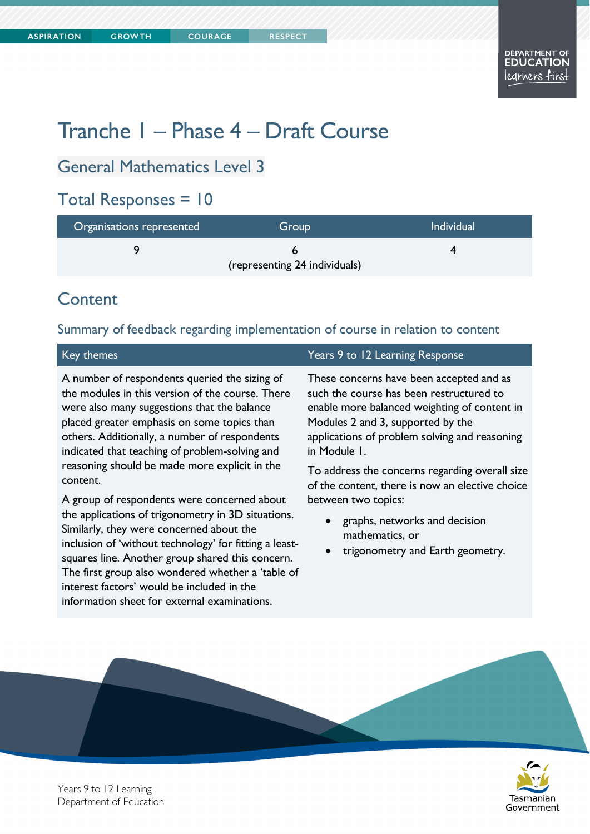# Tranche 1 – Phase 4 – Draft Course

## General Mathematics Level 3

#### Total Responses = 10

| Organisations represented     | Group | <b>Individual</b> |  |
|-------------------------------|-------|-------------------|--|
|                               |       |                   |  |
| (representing 24 individuals) |       |                   |  |

### Content

#### Summary of feedback regarding implementation of course in relation to content

A number of respondents queried the sizing of the modules in this version of the course. There were also many suggestions that the balance placed greater emphasis on some topics than others. Additionally, a number of respondents indicated that teaching of problem-solving and reasoning should be made more explicit in the content.

A group of respondents were concerned about the applications of trigonometry in 3D situations. Similarly, they were concerned about the inclusion of 'without technology' for fitting a leastsquares line. Another group shared this concern. The first group also wondered whether a 'table of interest factors' would be included in the information sheet for external examinations.

#### Key themes Years 9 to 12 Learning Response

These concerns have been accepted and as such the course has been restructured to enable more balanced weighting of content in Modules 2 and 3, supported by the applications of problem solving and reasoning in Module 1.

To address the concerns regarding overall size of the content, there is now an elective choice between two topics:

- graphs, networks and decision mathematics, or
- trigonometry and Earth geometry.



Years 9 to 12 Learning Department of Education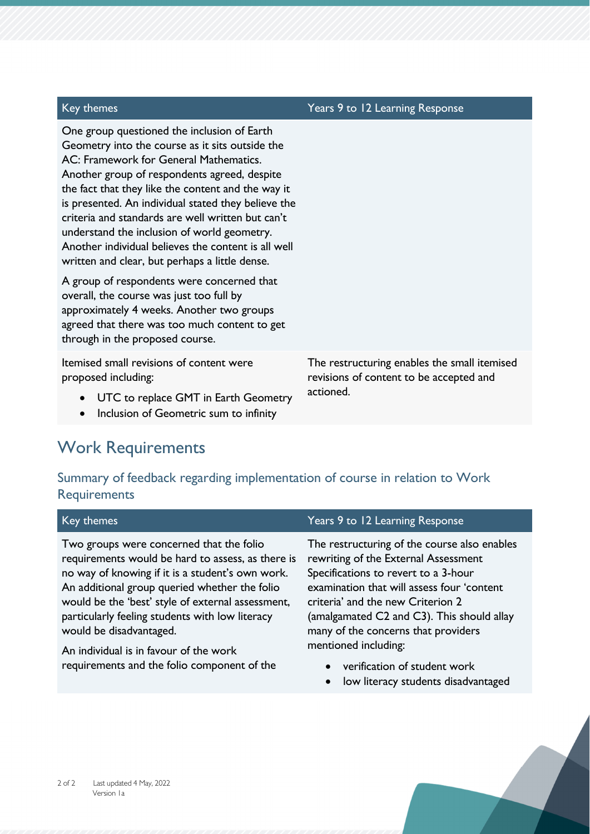| Key themes                                                                                                                                                                                                                                                                                                                                                                                                                                                                                                         | Years 9 to 12 Learning Response                                                                      |
|--------------------------------------------------------------------------------------------------------------------------------------------------------------------------------------------------------------------------------------------------------------------------------------------------------------------------------------------------------------------------------------------------------------------------------------------------------------------------------------------------------------------|------------------------------------------------------------------------------------------------------|
| One group questioned the inclusion of Earth<br>Geometry into the course as it sits outside the<br>AC: Framework for General Mathematics.<br>Another group of respondents agreed, despite<br>the fact that they like the content and the way it<br>is presented. An individual stated they believe the<br>criteria and standards are well written but can't<br>understand the inclusion of world geometry.<br>Another individual believes the content is all well<br>written and clear, but perhaps a little dense. |                                                                                                      |
| A group of respondents were concerned that<br>overall, the course was just too full by<br>approximately 4 weeks. Another two groups<br>agreed that there was too much content to get<br>through in the proposed course.                                                                                                                                                                                                                                                                                            |                                                                                                      |
| Itemised small revisions of content were<br>proposed including:<br>UTC to replace GMT in Earth Geometry<br>Inclusion of Geometric sum to infinity<br>$\bullet$                                                                                                                                                                                                                                                                                                                                                     | The restructuring enables the small itemised<br>revisions of content to be accepted and<br>actioned. |

## Work Requirements

#### Summary of feedback regarding implementation of course in relation to Work **Requirements**

| Key themes                                                                                                                                                                                                                                                                                                                                                                      | Years 9 to 12 Learning Response                                                                                                                                                                                                                                                                                              |
|---------------------------------------------------------------------------------------------------------------------------------------------------------------------------------------------------------------------------------------------------------------------------------------------------------------------------------------------------------------------------------|------------------------------------------------------------------------------------------------------------------------------------------------------------------------------------------------------------------------------------------------------------------------------------------------------------------------------|
| Two groups were concerned that the folio<br>requirements would be hard to assess, as there is<br>no way of knowing if it is a student's own work.<br>An additional group queried whether the folio<br>would be the 'best' style of external assessment,<br>particularly feeling students with low literacy<br>would be disadvantaged.<br>An individual is in favour of the work | The restructuring of the course also enables<br>rewriting of the External Assessment<br>Specifications to revert to a 3-hour<br>examination that will assess four 'content<br>criteria' and the new Criterion 2<br>(amalgamated C2 and C3). This should allay<br>many of the concerns that providers<br>mentioned including: |
| requirements and the folio component of the                                                                                                                                                                                                                                                                                                                                     | • verification of student work<br>$\mathbf{I}$ . The contract of the contract of the contract of the contract of the contract of the contract of the contract of the contract of the contract of the contract of the contract of the contract of the contract of th                                                          |

**•** low literacy students disadvantaged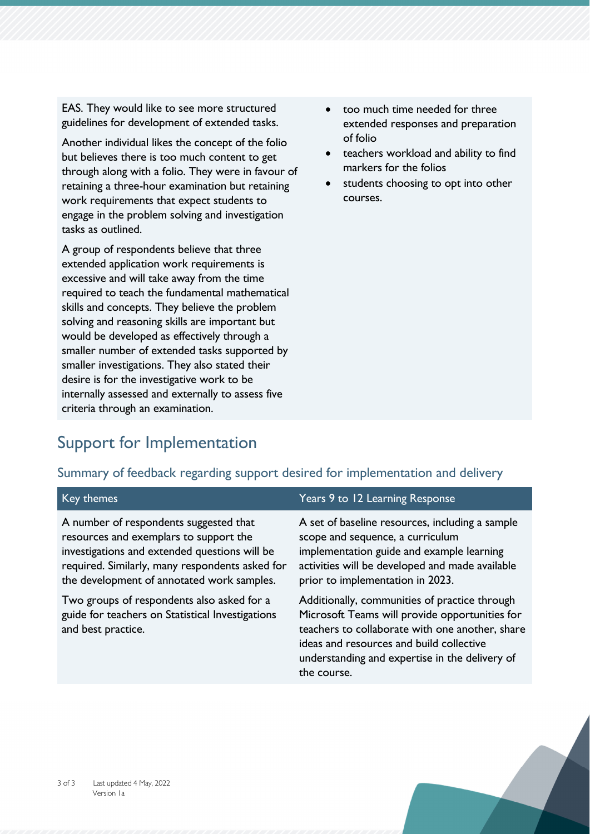EAS. They would like to see more structured guidelines for development of extended tasks.

Another individual likes the concept of the folio but believes there is too much content to get through along with a folio. They were in favour of retaining a three-hour examination but retaining work requirements that expect students to engage in the problem solving and investigation tasks as outlined.

A group of respondents believe that three extended application work requirements is excessive and will take away from the time required to teach the fundamental mathematical skills and concepts. They believe the problem solving and reasoning skills are important but would be developed as effectively through a smaller number of extended tasks supported by smaller investigations. They also stated their desire is for the investigative work to be internally assessed and externally to assess five criteria through an examination.

- too much time needed for three extended responses and preparation of folio
- teachers workload and ability to find markers for the folios
- students choosing to opt into other courses.

## Support for Implementation

#### Summary of feedback regarding support desired for implementation and delivery

| Key themes                                                                                                                                                                                                                         | Years 9 to 12 Learning Response                                                                                                                                                                                                                                 |
|------------------------------------------------------------------------------------------------------------------------------------------------------------------------------------------------------------------------------------|-----------------------------------------------------------------------------------------------------------------------------------------------------------------------------------------------------------------------------------------------------------------|
| A number of respondents suggested that<br>resources and exemplars to support the<br>investigations and extended questions will be<br>required. Similarly, many respondents asked for<br>the development of annotated work samples. | A set of baseline resources, including a sample<br>scope and sequence, a curriculum<br>implementation guide and example learning<br>activities will be developed and made available<br>prior to implementation in 2023.                                         |
| Two groups of respondents also asked for a<br>guide for teachers on Statistical Investigations<br>and best practice.                                                                                                               | Additionally, communities of practice through<br>Microsoft Teams will provide opportunities for<br>teachers to collaborate with one another, share<br>ideas and resources and build collective<br>understanding and expertise in the delivery of<br>the course. |
|                                                                                                                                                                                                                                    |                                                                                                                                                                                                                                                                 |